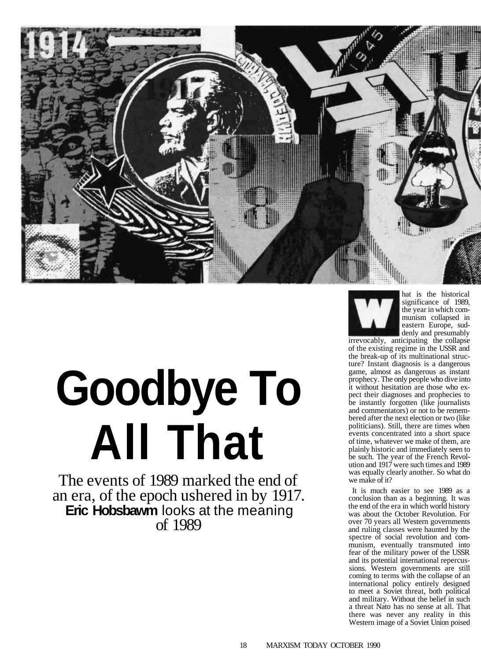

## **Goodbye To All That**

The events of 1989 marked the end of an era, of the epoch ushered in by 1917. **Eric Hobsbawm** looks at the meaning of 1989



hat is the historical significance of 1989, the year in which communism collapsed in eastern Europe, suddenly and presumably

irrevocably, anticipating the collapse of the existing regime in the USSR and the break-up of its multinational structure? Instant diagnosis is a dangerous game, almost as dangerous as instant prophecy. The only people who dive into it without hesitation are those who expect their diagnoses and prophecies to be instantly forgotten (like journalists and commentators) or not to be remembered after the next election or two (like politicians). Still, there are times when events concentrated into a short space of time, whatever we make of them, are plainly historic and immediately seen to be such. The year of the French Revolution and 1917 were such times and 1989 was equally clearly another. So what do we make of it?

It is much easier to see 1989 as a conclusion than as a beginning. It was the end of the era in which world history was about the October Revolution. For over 70 years all Western governments and ruling classes were haunted by the spectre of social revolution and communism, eventually transmuted into fear of the military power of the USSR and its potential international repercussions. Western governments are still coming to terms with the collapse of an international policy entirely designed to meet a Soviet threat, both political and military. Without the belief in such a threat Nato has no sense at all. That there was never any reality in this Western image of a Soviet Union poised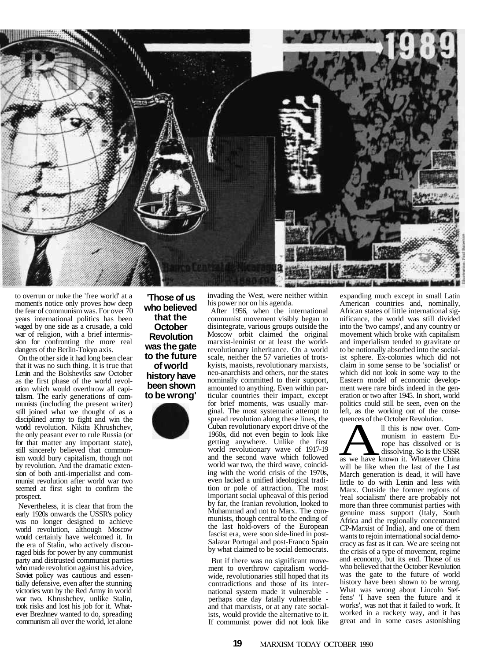

to overrun or nuke the 'free world' at a moment's notice only proves how deep the fear of communism was. For over 70 years international politics has been waged by one side as a crusade, a cold war of religion, with a brief intermission for confronting the more real dangers of the Berlin-Tokyo axis.

On the other side it had long been clear that it was no such thing. It is true that Lenin and the Bolsheviks saw October as the first phase of the world revolution which would overthrow all capitalism. The early generations of communists (including the present writer) still joined what we thought of as a disciplined army to fight and win the world revolution. Nikita Khrushchev, the only peasant ever to rule Russia (or for that matter any important state), still sincerely believed that communism would bury capitalism, though not by revolution. And the dramatic extension of both anti-imperialist and communist revolution after world war two seemed at first sight to confirm the prospect.

Nevertheless, it is clear that from the early 1920s onwards the USSR's policy was no longer designed to achieve world revolution, although Moscow would certainly have welcomed it. In the era of Stalin, who actively discouraged bids for power by any communist party and distrusted communist parties who made revolution against his advice, Soviet policy was cautious and essentially defensive, even after the stunning victories won by the Red Army in world war two. Khrushchev, unlike Stalin, took risks and lost his job for it. Whatever Brezhnev wanted to do, spreading communism all over the world, let alone

**'Those of us who believed that the October Revolution was the gate to the future of world history have been shown to be wrong'** 



invading the West, were neither within his power nor on his agenda.

After 1956, when the international communist movement visibly began to disintegrate, various groups outside the Moscow orbit claimed the original marxist-leninist or at least the worldrevolutionary inheritance. On a world scale, neither the 57 varieties of trotskyists, maoists, revolutionary marxists, neo-anarchists and others, nor the states nominally committed to their support, amounted to anything. Even within particular countries their impact, except for brief moments, was usually marginal. The most systematic attempt to spread revolution along these lines, the Cuban revolutionary export drive of the 1960s, did not even begin to look like getting anywhere. Unlike the first world revolutionary wave of 1917-19 and the second wave which followed world war two, the third wave, coinciding with the world crisis of the 1970s, even lacked a unified ideological tradition or pole of attraction. The most important social upheaval of this period by far, the Iranian revolution, looked to Muhammad and not to Marx. The communists, though central to the ending of the last hold-overs of the European fascist era, were soon side-lined in post-Salazar Portugal and post-Franco Spain by what claimed to be social democrats.

But if there was no significant movement to overthrow capitalism worldwide, revolutionaries still hoped that its contradictions and those of its international system made it vulnerable perhaps one day fatally vulnerable and that marxists, or at any rate socialists, would provide the alternative to it. If communist power did not look like

expanding much except in small Latin American countries and, nominally, African states of little international significance, the world was still divided into the 'two camps', and any country or movement which broke with capitalism and imperialism tended to gravitate or to be notionally absorbed into the socialist sphere. Ex-colonies which did not claim in some sense to be 'socialist' or which did not look in some way to the Eastern model of economic development were rare birds indeed in the generation or two after 1945. In short, world politics could still be seen, even on the left, as the working out of the consequences of the October Revolution.

> ll this is now over. Communism in eastern Europe has dissolved or is dissolving. So is the USSR

ent, as the v<br>quences of the discovery of the same of the same of the same of the same of the same of the same of the same of the same of the same of the same of the same of the same of the same of the same of the same of as we have known it. Whatever China will be like when the last of the Last March generation is dead, it will have little to do with Lenin and less with Marx. Outside the former regions of 'real socialism' there are probably not more than three communist parties with genuine mass support (Italy, South Africa and the regionally concentrated CP-Marxist of India), and one of them wants to rejoin international social democracy as fast as it can. We are seeing not the crisis of a type of movement, regime and economy, but its end. Those of us who believed that the October Revolution was the gate to the future of world history have been shown to be wrong. What was wrong about Lincoln Steffens' 'I have seen the future and it works', was not that it failed to work. It worked in a rackety way, and it has great and in some cases astonishing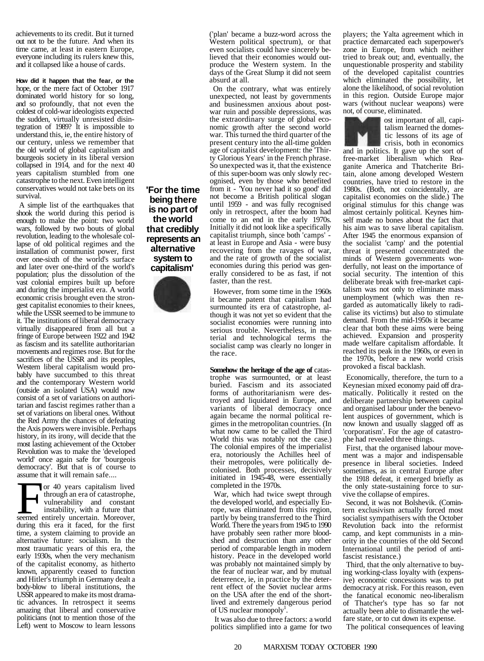achievements to its credit. But it turned out not to be the future. And when its time came, at least in eastern Europe, everyone including its rulers knew this, and it collapsed like a house of cards.

**How did it happen that the fear, or the**  hope, or the mere fact of October 1917 dominated world history for so long, and so profoundly, that not even the coldest of cold-war ideologists expected the sudden, virtually unresisted disintegration of 1989? It is impossible to understand this, ie, the entire history of our century, unless we remember that the old world of global capitalism and bourgeois society in its liberal version collapsed in 1914, and for the next 40 years capitalism stumbled from one catastrophe to the next. Even intelligent conservatives would not take bets on its survival.

A simple list of the earthquakes that shook the world during this period is enough to make the point: two world wars, followed by two bouts of global revolution, leading to the wholesale collapse of old political regimes and the installation of communist power, first over one-sixth of the world's surface and later over one-third of the world's population; plus the dissolution of the vast colonial empires built up before and during the imperialist era. A world economic crisis brought even the strongest capitalist economies to their knees, while the USSR seemed to be immune to it. The institutions of liberal democracy virtually disappeared from all but a fringe of Europe between 1922 and 1942 as fascism and its satellite authoritarian movements and regimes rose. But for the sacrifices of the USSR and its peoples, Western liberal capitalism would probably have succumbed to this threat and the contemporary Western world (outside an isolated USA) would now consist of a set of variations on authoritarian and fascist regimes rather than a set of variations on liberal ones. Without the Red Army the chances of defeating the Axis powers were invisible. Perhaps history, in its irony, will decide that the most lasting achievement of the October Revolution was to make the 'developed world' once again safe for 'bourgeois democracy'. But that is of course to assume that it will remain safe....

Franchi with remain sare....<br>
For 40 years capitalism lived<br>
through an era of catastrophe,<br>
vulnerability and constant<br>
instability, with a future that<br>
seemed entirely uncertain. Moreover, or 40 years capitalism lived through an era of catastrophe, vulnerability and constant instability, with a future that during this era it faced, for the first time, a system claiming to provide an alternative future: socialism. In the most traumatic years of this era, the early 1930s, when the very mechanism of the capitalist economy, as hitherto known, apparently ceased to function and Hitler's triumph in Germany dealt a body-blow to liberal institutions, the USSR appeared to make its most dramatic advances. In retrospect it seems amazing that liberal and conservative politicians (not to mention those of the Left) went to Moscow to learn lessons

('plan' became a buzz-word across the Western political spectrum), or that even socialists could have sincerely believed that their economies would outproduce the Western system. In the days of the Great Slump it did not seem absurd at all.

On the contrary, what was entirely unexpected, not least by governments and businessmen anxious about postwar ruin and possible depressions, was the extraordinary surge of global economic growth after the second world war. This turned the third quarter of the present century into the all-time golden age of capitalist development: the 'Thirty Glorious Years' in the French phrase. So unexpected was it, that the existence of this super-boom was only slowly recognised, even by those who benefited from it - 'You never had it so good' did not become a British political slogan until 1959 - and was fully recognised only in retrospect, after the boom had come to an end in the early 1970s. Initially it did not look like a specifically capitalist triumph, since both 'camps' at least in Europe and Asia - were busy recovering from the ravages of war, and the rate of growth of the socialist economies during this period was generally considered to be as fast, if not faster, than the rest.

**'For the time being there is no part of the world that credibly represents an alternative system to capitalism'** 

> However, from some time in the 1960s it became patent that capitalism had surmounted its era of catastrophe, although it was not yet so evident that the socialist economies were running into serious trouble. Nevertheless, in material and technological terms the socialist camp was clearly no longer in the race.

> **Somehow the heritage of the age of** catastrophe was surmounted, or at least buried. Fascism and its associated forms of authoritarianism were destroyed and liquidated in Europe, and variants of liberal democracy once again became the normal political regimes in the metropolitan countries. (In what now came to be called the Third World this was notably not the case.) The colonial empires of the imperialist era, notoriously the Achilles heel of their metropoles, were politically decolonised. Both processes, decisively initiated in 1945-48, were essentially completed in the 1970s.

> War, which had twice swept through the developed world, and especially Europe, was eliminated from this region, partly by being transferred to the Third World. There the years from 1945 to 1990 have probably seen rather more bloodshed and destruction than any other period of comparable length in modern history. Peace in the developed world was probably not maintained simply by the fear of nuclear war, and by mutual deterrence, ie, in practice by the deterrent effect of the Soviet nuclear arms on the USA after the end of the shortlived and extremely dangerous period of US nuclear monopoly<sup>1</sup>.

> It was also due to three factors: a world politics simplified into a game for two

players; the Yalta agreement which in practice demarcated each superpower's zone in Europe, from which neither tried to break out; and, eventually, the unquestionable prosperity and stability of the developed capitalist countries which eliminated the possibility, let alone the likelihood, of social revolution in this region. Outside Europe major wars (without nuclear weapons) were not, of course, eliminated.



ost important of all, capitalism learned the domestic lessons of its age of crisis, both in economics

and in politics. It gave up the sort of free-market liberalism which Reaganite America and Thatcherite Britain, alone among developed Western countries, have tried to restore in the 1980s. (Both, not coincidentally, are capitalist economies on the slide.) The original stimulus for this change was almost certainly political. Keynes himself made no bones about the fact that his aim was to save liberal capitalism. After 1945 the enormous expansion of the socialist 'camp' and the potential threat it presented concentrated the minds of Western governments wonderfully, not least on the importance of social security. The intention of this deliberate break with free-market capitalism was not only to eliminate mass unemployment (which was then regarded as automatically likely to radicalise its victims) but also to stimulate demand. From the mid-1950s it became clear that both these aims were being achieved. Expansion and prosperity made welfare capitalism affordable. It reached its peak in the 1960s, or even in the 1970s, before a new world crisis provoked a fiscal backlash.

Economically, therefore, the turn to a Keynesian mixed economy paid off dramatically. Politically it rested on the deliberate partnership between capital and organised labour under the benevolent auspices of government, which is now known and usually slagged off as 'corporatism'. For the age of catastrophe had revealed three things.

First, that the organised labour movement was a major and indispensable presence in liberal societies. Indeed sometimes, as in central Europe after the 1918 defeat, it emerged briefly as the only state-sustaining force to survive the collapse of empires.

Second, it was not Bolshevik. (Comintern exclusivism actually forced most socialist sympathisers with the October Revolution back into the reformist camp, and kept communists in a minority in the countries of the old Second International until the period of antifascist resistance.)

Third, that the only alternative to buying working-class loyalty with (expensive) economic concessions was to put democracy at risk. For this reason, even the fanatical economic neo-liberalism of Thatcher's type has so far not actually been able to dismantle the welfare state, or to cut down its expense.

The political consequences of leaving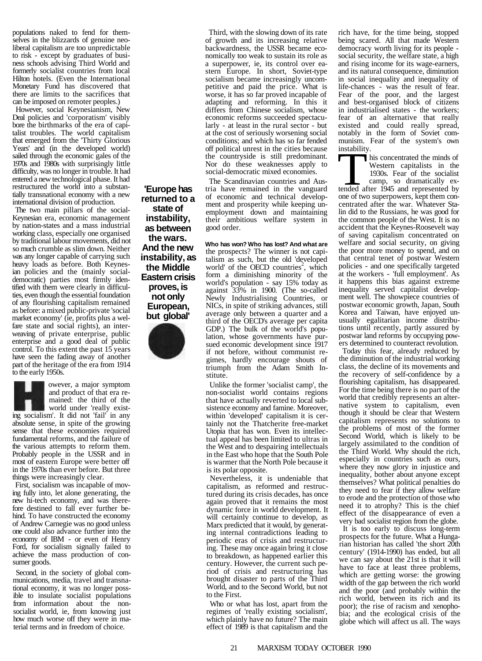populations naked to fend for themselves in the blizzards of genuine neoliberal capitalism are too unpredictable to risk - except by graduates of business schools advising Third World and formerly socialist countries from local Hilton hotels. (Even the International Monetary Fund has discovered that there are limits to the sacrifices that can be imposed on remoter peoples.)

However, social Keynesianism, New Deal policies and 'corporatism' visibly bore the birthmarks of the era of capitalist troubles. The world capitalism that emerged from the 'Thirty Glorious Years' and (in the developed world) sailed through the economic gales of the 1970s and 1980s with surprisingly little difficulty, was no longer in trouble. It had entered a new technological phase. It had restructured the world into a substantially transnational economy with a new international division of production.

The two main pillars of the social-Keynesian era, economic management by nation-states and a mass industrial working class, especially one organised by traditional labour movements, did not so much crumble as slim down. Neither was any longer capable of carrying such heavy loads as before. Both Keynesian policies and the (mainly socialdemocratic) parties most firmly identified with them were clearly in difficulties, even though the essential foundation of any flourishing capitalism remained as before: a mixed public-private 'social market economy' (ie, profits plus a welfare state and social rights), an interweaving of private enterprise, public enterprise and a good deal of public control. To this extent the past 15 years have seen the fading away of another part of the heritage of the era from 1914 to the early 1950s.



owever, a major symptom and product of that era remained: the third of the

world under 'really existing socialism'. It did not 'fail' in any absolute sense, in spite of the growing sense that these economies required fundamental reforms, and the failure of the various attempts to reform them. Probably people in the USSR and in most of eastern Europe were better off in the 1970s than ever before. But three things were increasingly clear.

First, socialism was incapable of moving fully into, let alone generating, the new hi-tech economy, and was therefore destined to fall ever further behind. To have constructed the economy of Andrew Carnegie was no good unless one could also advance further into the economy of IBM - or even of Henry Ford, for socialism signally failed to achieve the mass production of consumer goods.

Second, in the society of global communications, media, travel and transnational economy, it was no longer possible to insulate socialist populations from information about the nonsocialist world, ie, from knowing just how much worse off they were in material terms and in freedom of choice.

Third, with the slowing down of its rate of growth and its increasing relative backwardness, the USSR became economically too weak to sustain its role as a superpower, ie, its control over eastern Europe. In short, Soviet-type socialism became increasingly uncompetitive and paid the price. What is worse, it has so far proved incapable of adapting and reforming. In this it differs from Chinese socialism, whose economic reforms succeeded spectacularly - at least in the rural sector - but at the cost of seriously worsening social conditions; and which has so far fended off political unrest in the cities because the countryside is still predominant. Nor do these weaknesses apply to social-democratic mixed economies.

The Scandinavian countries and Austria have remained in the vanguard of economic and technical development and prosperity while keeping unemployment down and maintaining their ambitious welfare system in good order.

**'Europe has returned to a state of instability, as between the wars. And the new instability, as the Middle Eastern crisis proves, is not only European, but global'** 

**Who has won? Who has lost? And what are**  the prospects? The winner is not capitalism as such, but the old 'developed world' of the OECD countries<sup>2</sup>, which form a diminishing minority of the world's population - say 15% today as against 33% in 1900. (The so-called Newly Industrialising Countries, or NICs, in spite of striking advances, still average only between a quarter and a third of the OECD's average per capita GDP.) The bulk of the world's population, whose governments have pursued economic development since 1917 if not before, without communist regimes, hardly encourage shouts of triumph from the Adam Smith Institute.

Unlike the former 'socialist camp', the non-socialist world contains regions that have actually reverted to local subsistence economy and famine. Moreover, within 'developed' capitalism it is certainly not the Thatcherite free-market Utopia that has won. Even its intellectual appeal has been limited to ultras in the West and to despairing intellectuals in the East who hope that the South Pole is warmer that the North Pole because it is its polar opposite.

Nevertheless, it is undeniable that capitalism, as reformed and restructured during its crisis decades, has once again proved that it remains the most dynamic force in world development. It will certainly continue to develop, as Marx predicted that it would, by generating internal contradictions leading to periodic eras of crisis and restructuring. These may once again bring it close to breakdown, as happened earlier this century. However, the current such period of crisis and restructuring has brought disaster to parts of the Third World, and to the Second World, but not to the First.

Who or what has lost, apart from the regimes of 'really existing socialism', which plainly have no future? The main effect of 1989 is that capitalism and the

rich have, for the time being, stopped being scared. All that made Western democracy worth living for its people social security, the welfare state, a high and rising income for its wage-earners, and its natural consequence, diminution in social inequality and inequality of life-chances - was the result of fear. Fear of the poor, and the largest and best-organised block of citizens in industrialised states - the workers; fear of an alternative that really existed and could really spread, notably in the form of Soviet communism. Fear of the system's own instability.

Instability.<br>
Inis concentrated the minds of<br>
Western capitalists in the<br>
1930s. Fear of the socialist<br>
camp, so dramatically ex-<br>
tended after 1945 and represented by his concentrated the minds of Western capitalists in the 1930s. Fear of the socialist camp, so dramatically ex-

one of two superpowers, kept them concentrated after the war. Whatever Stalin did to the Russians, he was good for the common people of the West. It is no accident that the Keynes-Roosevelt way of saving capitalism concentrated on welfare and social security, on giving the poor more money to spend, and on that central tenet of postwar Western policies - and one specifically targeted at the workers - 'full employment'. As it happens this bias against extreme inequality served capitalist development well. The showpiece countries of postwar economic growth, Japan, South Korea and Taiwan, have enjoyed unusually egalitarian income distributions until recently, partly assured by postwar land reforms by occupying powers determined to counteract revolution.

Today this fear, already reduced by the diminution of the industrial working class, the decline of its movements and the recovery of self-confidence by a flourishing capitalism, has disappeared. For the time being there is no part of the world that credibly represents an alternative system to capitalism, even though it should be clear that Western capitalism represents no solutions to the problems of most of the former Second World, which is likely to be largely assimilated to the condition of the Third World. Why should the rich, especially in countries such as ours, where they now glory in injustice and inequality, bother about anyone except themselves? What political penalties do they need to fear if they allow welfare to erode and the protection of those who need it to atrophy? This is the chief effect of the disappearance of even a very bad socialist region from the globe.

It is too early to discuss long-term prospects for the future. What a Hungarian historian has called 'the short 20th century' (1914-1990) has ended, but all we can say about the 21st is that it will have to face at least three problems, which are getting worse: the growing width of the gap between the rich world and the poor (and probably within the rich world, between its rich and its poor); the rise of racism and xenophobia; and the ecological crisis of the globe which will affect us all. The ways